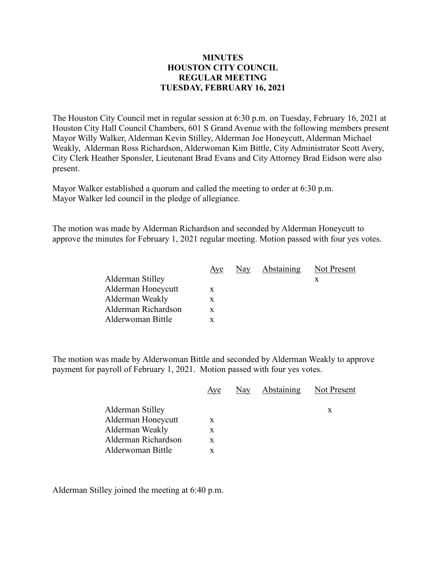## **MINUTES HOUSTON CITY COUNCIL REGULAR MEETING TUESDAY, FEBRUARY 16, 2021**

The Houston City Council met in regular session at 6:30 p.m. on Tuesday, February 16, 2021 at Houston City Hall Council Chambers, 601 S Grand Avenue with the following members present Mayor Willy Walker, Alderman Kevin Stilley, Alderman Joe Honeycutt, Alderman Michael Weakly, Alderman Ross Richardson, Alderwoman Kim Bittle, City Administrator Scott Avery, City Clerk Heather Sponsler, Lieutenant Brad Evans and City Attorney Brad Eidson were also present.

Mayor Walker established a quorum and called the meeting to order at 6:30 p.m. Mayor Walker led council in the pledge of allegiance.

The motion was made by Alderman Richardson and seconded by Alderman Honeycutt to approve the minutes for February 1, 2021 regular meeting. Motion passed with four yes votes.

|                     | Aye | $\frac{\text{Nay}}{\text{a}x}$ | Abstaining | Not Present |
|---------------------|-----|--------------------------------|------------|-------------|
| Alderman Stilley    |     |                                |            | х           |
| Alderman Honeycutt  | X   |                                |            |             |
| Alderman Weakly     | X   |                                |            |             |
| Alderman Richardson | X   |                                |            |             |
| Alderwoman Bittle   |     |                                |            |             |

The motion was made by Alderwoman Bittle and seconded by Alderman Weakly to approve payment for payroll of February 1, 2021. Motion passed with four yes votes.

|                     | Aye | Nay Abstaining | Not Present |
|---------------------|-----|----------------|-------------|
| Alderman Stilley    |     |                | X           |
| Alderman Honeycutt  | X   |                |             |
| Alderman Weakly     | X   |                |             |
| Alderman Richardson | X   |                |             |
| Alderwoman Bittle   | X   |                |             |
|                     |     |                |             |

Alderman Stilley joined the meeting at 6:40 p.m.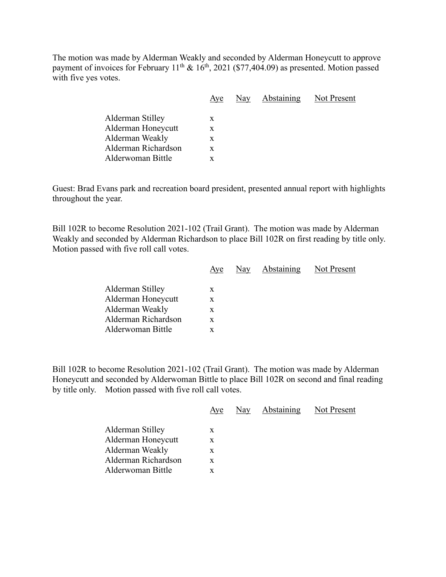The motion was made by Alderman Weakly and seconded by Alderman Honeycutt to approve payment of invoices for February  $11^{th} \& 16^{th}$ , 2021 (\$77,404.09) as presented. Motion passed with five yes votes.

| Aye | Nay | Not Present       |
|-----|-----|-------------------|
|     |     |                   |
| X   |     |                   |
| X   |     |                   |
| X   |     |                   |
| X   |     |                   |
| x   |     |                   |
|     |     | <b>Abstaining</b> |

Guest: Brad Evans park and recreation board president, presented annual report with highlights throughout the year.

Bill 102R to become Resolution 2021-102 (Trail Grant). The motion was made by Alderman Weakly and seconded by Alderman Richardson to place Bill 102R on first reading by title only. Motion passed with five roll call votes.

|                     | Aye | Nay Abstaining | Not Present |
|---------------------|-----|----------------|-------------|
| Alderman Stilley    | X   |                |             |
| Alderman Honeycutt  | X   |                |             |
| Alderman Weakly     | X   |                |             |
| Alderman Richardson | X   |                |             |
| Alderwoman Bittle   |     |                |             |
|                     |     |                |             |

Bill 102R to become Resolution 2021-102 (Trail Grant). The motion was made by Alderman Honeycutt and seconded by Alderwoman Bittle to place Bill 102R on second and final reading by title only. Motion passed with five roll call votes.

|                     | Aye | Nay | <b>Abstaining</b> | Not Present |
|---------------------|-----|-----|-------------------|-------------|
|                     |     |     |                   |             |
| Alderman Stilley    | X   |     |                   |             |
| Alderman Honeycutt  | X.  |     |                   |             |
| Alderman Weakly     | X   |     |                   |             |
| Alderman Richardson | X   |     |                   |             |
| Alderwoman Bittle   |     |     |                   |             |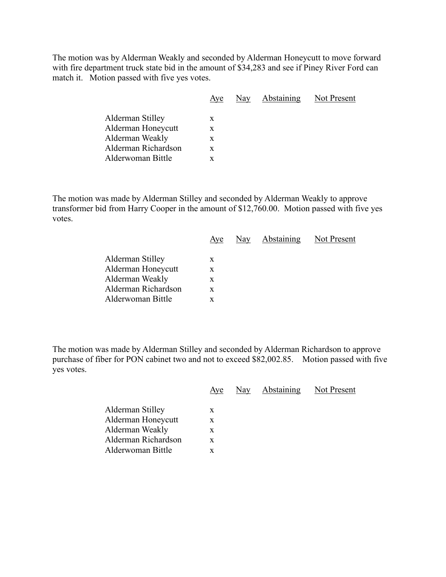The motion was by Alderman Weakly and seconded by Alderman Honeycutt to move forward with fire department truck state bid in the amount of \$34,283 and see if Piney River Ford can match it. Motion passed with five yes votes.

| Aye | Nay | Not Present |
|-----|-----|-------------|
| X   |     |             |
| X   |     |             |
| X   |     |             |
| X   |     |             |
| X   |     |             |
|     |     | Abstaining  |

The motion was made by Alderman Stilley and seconded by Alderman Weakly to approve transformer bid from Harry Cooper in the amount of \$12,760.00. Motion passed with five yes votes.

|                     | Aye | Nay Abstaining Not Present |  |
|---------------------|-----|----------------------------|--|
| Alderman Stilley    | X   |                            |  |
| Alderman Honeycutt  | X   |                            |  |
| Alderman Weakly     | X   |                            |  |
| Alderman Richardson | X   |                            |  |
| Alderwoman Bittle   | X   |                            |  |
|                     |     |                            |  |

The motion was made by Alderman Stilley and seconded by Alderman Richardson to approve purchase of fiber for PON cabinet two and not to exceed \$82,002.85. Motion passed with five yes votes.

|                                                                                                       | Aye                   | Nay | Abstaining | Not Present |
|-------------------------------------------------------------------------------------------------------|-----------------------|-----|------------|-------------|
| Alderman Stilley<br>Alderman Honeycutt<br>Alderman Weakly<br>Alderman Richardson<br>Alderwoman Bittle | X<br>X<br>X<br>X<br>X |     |            |             |
|                                                                                                       |                       |     |            |             |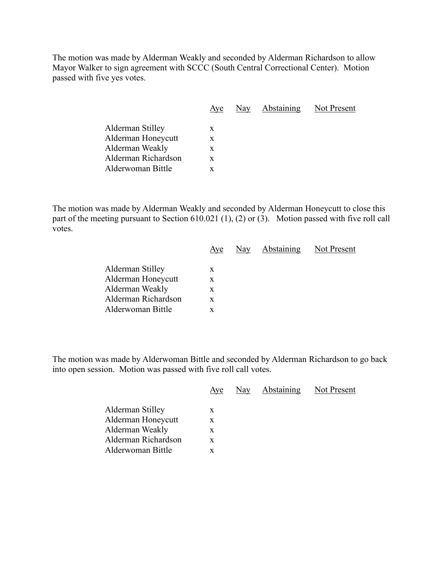The motion was made by Alderman Weakly and seconded by Alderman Richardson to allow Mayor Walker to sign agreement with SCCC (South Central Correctional Center). Motion passed with five yes votes.

| Aye | $\frac{\text{Nay}}{\text{y}}$ | Not Present       |
|-----|-------------------------------|-------------------|
|     |                               |                   |
| X   |                               |                   |
| X   |                               |                   |
| X   |                               |                   |
| X   |                               |                   |
| x   |                               |                   |
|     |                               | <b>Abstaining</b> |

The motion was made by Alderman Weakly and seconded by Alderman Honeycutt to close this part of the meeting pursuant to Section 610.021 (1), (2) or (3). Motion passed with five roll call votes.

|                     | Aye | Nay Abstaining | Not Present |
|---------------------|-----|----------------|-------------|
| Alderman Stilley    | X   |                |             |
| Alderman Honeycutt  | X   |                |             |
| Alderman Weakly     | X   |                |             |
| Alderman Richardson | X   |                |             |
| Alderwoman Bittle   | x   |                |             |
|                     |     |                |             |

The motion was made by Alderwoman Bittle and seconded by Alderman Richardson to go back into open session. Motion was passed with five roll call votes.

|                     | Aye | Nay | Abstaining | Not Present |
|---------------------|-----|-----|------------|-------------|
| Alderman Stilley    | X   |     |            |             |
| Alderman Honeycutt  | X   |     |            |             |
| Alderman Weakly     | X   |     |            |             |
| Alderman Richardson | X   |     |            |             |
| Alderwoman Bittle   | X   |     |            |             |
|                     |     |     |            |             |